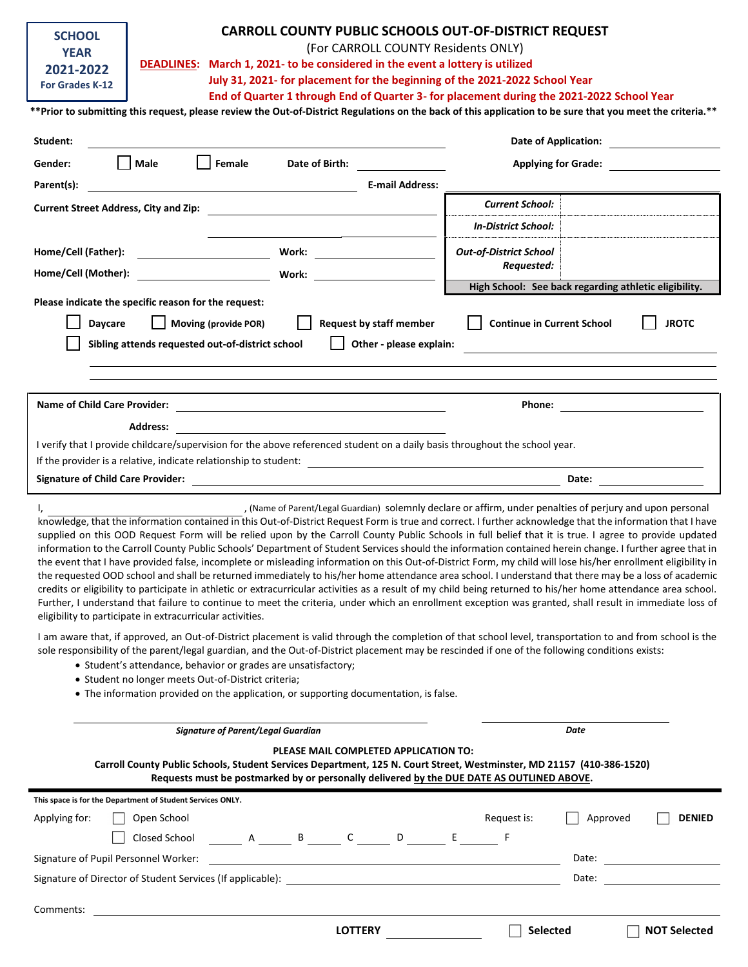| <b>SCHOOL</b>   |  |  |  |  |  |  |  |
|-----------------|--|--|--|--|--|--|--|
| <b>YFAR</b>     |  |  |  |  |  |  |  |
| 2021-2022       |  |  |  |  |  |  |  |
| For Grades K-12 |  |  |  |  |  |  |  |

## **CARROLL COUNTY PUBLIC SCHOOLS OUT-OF-DISTRICT REQUEST**

(For CARROLL COUNTY Residents ONLY)

 **DEADLINES: March 1, 2021- to be considered in the event a lottery is utilized**

**July 31, 2021- for placement for the beginning of the 2021-2022 School Year**

**End of Quarter 1 through End of Quarter 3- for placement during the 2021-2022 School Year**

**\*\*Prior to submitting this request, please review the Out-of-District Regulations on the back of this application to be sure that you meet the criteria.\*\***

| Student:                                                                                                                                                                                                                                                                                                                                                                                                                                                                                                                                                                                                                                                                                                                                                                                                                                                                                                                                                                                                                                                                                                                                                                                                                                                                                                                                                                                                                                                                                                                                                                                                                               |                                                                                                                             | <b>Date of Application:</b>       |                                                       |  |  |  |  |  |
|----------------------------------------------------------------------------------------------------------------------------------------------------------------------------------------------------------------------------------------------------------------------------------------------------------------------------------------------------------------------------------------------------------------------------------------------------------------------------------------------------------------------------------------------------------------------------------------------------------------------------------------------------------------------------------------------------------------------------------------------------------------------------------------------------------------------------------------------------------------------------------------------------------------------------------------------------------------------------------------------------------------------------------------------------------------------------------------------------------------------------------------------------------------------------------------------------------------------------------------------------------------------------------------------------------------------------------------------------------------------------------------------------------------------------------------------------------------------------------------------------------------------------------------------------------------------------------------------------------------------------------------|-----------------------------------------------------------------------------------------------------------------------------|-----------------------------------|-------------------------------------------------------|--|--|--|--|--|
| Male<br>Gender:                                                                                                                                                                                                                                                                                                                                                                                                                                                                                                                                                                                                                                                                                                                                                                                                                                                                                                                                                                                                                                                                                                                                                                                                                                                                                                                                                                                                                                                                                                                                                                                                                        | Female<br>Date of Birth:                                                                                                    | <b>Applying for Grade:</b>        |                                                       |  |  |  |  |  |
| Parent(s):                                                                                                                                                                                                                                                                                                                                                                                                                                                                                                                                                                                                                                                                                                                                                                                                                                                                                                                                                                                                                                                                                                                                                                                                                                                                                                                                                                                                                                                                                                                                                                                                                             | <b>E-mail Address:</b>                                                                                                      |                                   |                                                       |  |  |  |  |  |
| <b>Current Street Address, City and Zip:</b>                                                                                                                                                                                                                                                                                                                                                                                                                                                                                                                                                                                                                                                                                                                                                                                                                                                                                                                                                                                                                                                                                                                                                                                                                                                                                                                                                                                                                                                                                                                                                                                           |                                                                                                                             | <b>Current School:</b>            |                                                       |  |  |  |  |  |
|                                                                                                                                                                                                                                                                                                                                                                                                                                                                                                                                                                                                                                                                                                                                                                                                                                                                                                                                                                                                                                                                                                                                                                                                                                                                                                                                                                                                                                                                                                                                                                                                                                        |                                                                                                                             | <b>In-District School:</b>        |                                                       |  |  |  |  |  |
| Home/Cell (Father):                                                                                                                                                                                                                                                                                                                                                                                                                                                                                                                                                                                                                                                                                                                                                                                                                                                                                                                                                                                                                                                                                                                                                                                                                                                                                                                                                                                                                                                                                                                                                                                                                    | Work:                                                                                                                       | <b>Out-of-District School</b>     |                                                       |  |  |  |  |  |
| Home/Cell (Mother):                                                                                                                                                                                                                                                                                                                                                                                                                                                                                                                                                                                                                                                                                                                                                                                                                                                                                                                                                                                                                                                                                                                                                                                                                                                                                                                                                                                                                                                                                                                                                                                                                    | Work:                                                                                                                       | Requested:                        |                                                       |  |  |  |  |  |
|                                                                                                                                                                                                                                                                                                                                                                                                                                                                                                                                                                                                                                                                                                                                                                                                                                                                                                                                                                                                                                                                                                                                                                                                                                                                                                                                                                                                                                                                                                                                                                                                                                        |                                                                                                                             |                                   | High School: See back regarding athletic eligibility. |  |  |  |  |  |
| Please indicate the specific reason for the request:                                                                                                                                                                                                                                                                                                                                                                                                                                                                                                                                                                                                                                                                                                                                                                                                                                                                                                                                                                                                                                                                                                                                                                                                                                                                                                                                                                                                                                                                                                                                                                                   |                                                                                                                             |                                   |                                                       |  |  |  |  |  |
| Daycare                                                                                                                                                                                                                                                                                                                                                                                                                                                                                                                                                                                                                                                                                                                                                                                                                                                                                                                                                                                                                                                                                                                                                                                                                                                                                                                                                                                                                                                                                                                                                                                                                                | Moving (provide POR)<br><b>Request by staff member</b>                                                                      | <b>Continue in Current School</b> | <b>JROTC</b>                                          |  |  |  |  |  |
| Sibling attends requested out-of-district school                                                                                                                                                                                                                                                                                                                                                                                                                                                                                                                                                                                                                                                                                                                                                                                                                                                                                                                                                                                                                                                                                                                                                                                                                                                                                                                                                                                                                                                                                                                                                                                       | Other - please explain:                                                                                                     |                                   |                                                       |  |  |  |  |  |
|                                                                                                                                                                                                                                                                                                                                                                                                                                                                                                                                                                                                                                                                                                                                                                                                                                                                                                                                                                                                                                                                                                                                                                                                                                                                                                                                                                                                                                                                                                                                                                                                                                        |                                                                                                                             |                                   |                                                       |  |  |  |  |  |
|                                                                                                                                                                                                                                                                                                                                                                                                                                                                                                                                                                                                                                                                                                                                                                                                                                                                                                                                                                                                                                                                                                                                                                                                                                                                                                                                                                                                                                                                                                                                                                                                                                        |                                                                                                                             |                                   |                                                       |  |  |  |  |  |
| Name of Child Care Provider:                                                                                                                                                                                                                                                                                                                                                                                                                                                                                                                                                                                                                                                                                                                                                                                                                                                                                                                                                                                                                                                                                                                                                                                                                                                                                                                                                                                                                                                                                                                                                                                                           |                                                                                                                             | Phone:                            |                                                       |  |  |  |  |  |
| <b>Address:</b>                                                                                                                                                                                                                                                                                                                                                                                                                                                                                                                                                                                                                                                                                                                                                                                                                                                                                                                                                                                                                                                                                                                                                                                                                                                                                                                                                                                                                                                                                                                                                                                                                        |                                                                                                                             |                                   |                                                       |  |  |  |  |  |
| I verify that I provide childcare/supervision for the above referenced student on a daily basis throughout the school year.                                                                                                                                                                                                                                                                                                                                                                                                                                                                                                                                                                                                                                                                                                                                                                                                                                                                                                                                                                                                                                                                                                                                                                                                                                                                                                                                                                                                                                                                                                            |                                                                                                                             |                                   |                                                       |  |  |  |  |  |
|                                                                                                                                                                                                                                                                                                                                                                                                                                                                                                                                                                                                                                                                                                                                                                                                                                                                                                                                                                                                                                                                                                                                                                                                                                                                                                                                                                                                                                                                                                                                                                                                                                        | If the provider is a relative, indicate relationship to student:<br><u> and a subsequence of the provider is a relation</u> |                                   |                                                       |  |  |  |  |  |
| <b>Signature of Child Care Provider:</b>                                                                                                                                                                                                                                                                                                                                                                                                                                                                                                                                                                                                                                                                                                                                                                                                                                                                                                                                                                                                                                                                                                                                                                                                                                                                                                                                                                                                                                                                                                                                                                                               |                                                                                                                             | Date:                             |                                                       |  |  |  |  |  |
| , (Name of Parent/Legal Guardian) solemnly declare or affirm, under penalties of perjury and upon personal<br>I,<br>knowledge, that the information contained in this Out-of-District Request Form is true and correct. I further acknowledge that the information that I have<br>supplied on this OOD Request Form will be relied upon by the Carroll County Public Schools in full belief that it is true. I agree to provide updated<br>information to the Carroll County Public Schools' Department of Student Services should the information contained herein change. I further agree that in<br>the event that I have provided false, incomplete or misleading information on this Out-of-District Form, my child will lose his/her enrollment eligibility in<br>the requested OOD school and shall be returned immediately to his/her home attendance area school. I understand that there may be a loss of academic<br>credits or eligibility to participate in athletic or extracurricular activities as a result of my child being returned to his/her home attendance area school.<br>Further, I understand that failure to continue to meet the criteria, under which an enrollment exception was granted, shall result in immediate loss of<br>eligibility to participate in extracurricular activities.<br>I am aware that, if approved, an Out-of-District placement is valid through the completion of that school level, transportation to and from school is the<br>sole responsibility of the parent/legal guardian, and the Out-of-District placement may be rescinded if one of the following conditions exists: |                                                                                                                             |                                   |                                                       |  |  |  |  |  |
| • Student no longer meets Out-of-District criteria;                                                                                                                                                                                                                                                                                                                                                                                                                                                                                                                                                                                                                                                                                                                                                                                                                                                                                                                                                                                                                                                                                                                                                                                                                                                                                                                                                                                                                                                                                                                                                                                    | • Student's attendance, behavior or grades are unsatisfactory;                                                              |                                   |                                                       |  |  |  |  |  |

The information provided on the application, or supporting documentation, is false.

| <b>Signature of Parent/Legal Guardian</b>                                                                                                                                                                                                                   |  |  |                |   |    |             |                 |                     |  |  |
|-------------------------------------------------------------------------------------------------------------------------------------------------------------------------------------------------------------------------------------------------------------|--|--|----------------|---|----|-------------|-----------------|---------------------|--|--|
| PLEASE MAIL COMPLETED APPLICATION TO:<br>Carroll County Public Schools, Student Services Department, 125 N. Court Street, Westminster, MD 21157 (410-386-1520)<br>Requests must be postmarked by or personally delivered by the DUE DATE AS OUTLINED ABOVE. |  |  |                |   |    |             |                 |                     |  |  |
| This space is for the Department of Student Services ONLY.                                                                                                                                                                                                  |  |  |                |   |    |             |                 |                     |  |  |
| Open School<br>Applying for:                                                                                                                                                                                                                                |  |  |                |   |    | Request is: | Approved        | <b>DENIED</b>       |  |  |
| Closed School A B C                                                                                                                                                                                                                                         |  |  |                | D | E. |             |                 |                     |  |  |
| Signature of Pupil Personnel Worker:                                                                                                                                                                                                                        |  |  |                |   |    |             | Date:           |                     |  |  |
| Signature of Director of Student Services (If applicable):                                                                                                                                                                                                  |  |  |                |   |    |             | Date:           |                     |  |  |
| Comments:                                                                                                                                                                                                                                                   |  |  |                |   |    |             |                 |                     |  |  |
|                                                                                                                                                                                                                                                             |  |  | <b>LOTTERY</b> |   |    |             | <b>Selected</b> | <b>NOT Selected</b> |  |  |